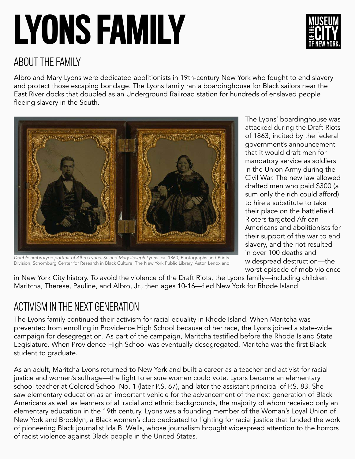# LYONS FAMILY



#### ABOUT THE FAMILY

Albro and Mary Lyons were dedicated abolitionists in 19th-century New York who fought to end slavery and protect those escaping bondage. The Lyons family ran a boardinghouse for Black sailors near the East River docks that doubled as an Underground Railroad station for hundreds of enslaved people fleeing slavery in the South.



The Lyons' boardinghouse was attacked during the Draft Riots of 1863, incited by the federal government's announcement that it would draft men for mandatory service as soldiers in the Union Army during the Civil War. The new law allowed drafted men who paid \$300 (a sum only the rich could afford) to hire a substitute to take their place on the battlefield. Rioters targeted African Americans and abolitionists for their support of the war to end slavery, and the riot resulted in over 100 deaths and widespread destruction—the worst episode of mob violence

*Double ambrotype portrait of Albro Lyons, Sr. and Mary Joseph Lyons.* ca. 1860, Photographs and Prints Division, Schomburg Center for Research in Black Culture, The New York Public Library, Astor, Lenox and

in New York City history. To avoid the violence of the Draft Riots, the Lyons family—including children Maritcha, Therese, Pauline, and Albro, Jr., then ages 10-16—fled New York for Rhode Island.

### ACTIVISM IN THE NEXT GENERATION

The Lyons family continued their activism for racial equality in Rhode Island. When Maritcha was prevented from enrolling in Providence High School because of her race, the Lyons joined a state-wide campaign for desegregation. As part of the campaign, Maritcha testified before the Rhode Island State Legislature. When Providence High School was eventually desegregated, Maritcha was the first Black student to graduate.

As an adult, Maritcha Lyons returned to New York and built a career as a teacher and activist for racial justice and women's suffrage—the fight to ensure women could vote. Lyons became an elementary school teacher at Colored School No. 1 (later P.S. 67), and later the assistant principal of P.S. 83. She saw elementary education as an important vehicle for the advancement of the next generation of Black Americans as well as learners of all racial and ethnic backgrounds, the majority of whom received only an elementary education in the 19th century. Lyons was a founding member of the Woman's Loyal Union of New York and Brooklyn, a Black women's club dedicated to fighting for racial justice that funded the work of pioneering Black journalist Ida B. Wells, whose journalism brought widespread attention to the horrors of racist violence against Black people in the United States.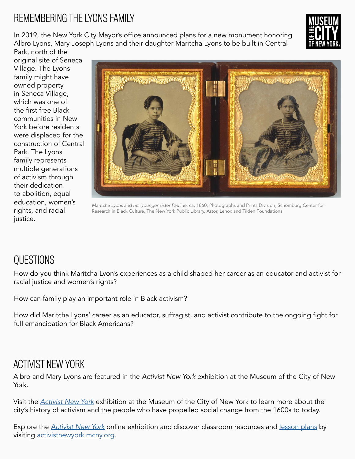### REMEMBERING THE LYONS FAMILY

In 2019, the New York City Mayor's office announced plans for a new monument honoring Albro Lyons, Mary Joseph Lyons and their daughter Maritcha Lyons to be built in Central



Park, north of the original site of Seneca Village. The Lyons family might have owned property in Seneca Village, which was one of the first free Black communities in New York before residents were displaced for the construction of Central Park. The Lyons family represents multiple generations of activism through their dedication to abolition, equal education, women's rights, and racial justice.



*Maritcha Lyons and her younger sister Pauline.* ca. 1860, Photographs and Prints Division, Schomburg Center for Research in Black Culture, The New York Public Library, Astor, Lenox and Tilden Foundations.

### **OUESTIONS**

How do you think Maritcha Lyon's experiences as a child shaped her career as an educator and activist for racial justice and women's rights?

How can family play an important role in Black activism?

How did Maritcha Lyons' career as an educator, suffragist, and activist contribute to the ongoing fight for full emancipation for Black Americans?

#### ACTIVIST NEW YORK

Albro and Mary Lyons are featured in the *Activist New York* exhibition at the Museum of the City of New York.

Visit the *[Activist New York](https://www.mcny.org/exhibition/activist-new-york)* exhibition at the Museum of the City of New York to learn more about the city's history of activism and the people who have propelled social change from the 1600s to today.

Explore the *[Activist New York](https://activistnewyork.mcny.org/)* online exhibition and discover classroom resources and [lesson plans](https://activistnewyork.mcny.org/see-all-lesson-plans) by visiting [activistnewyork.mcny.org.](http://activistnewyork.mcny.org)